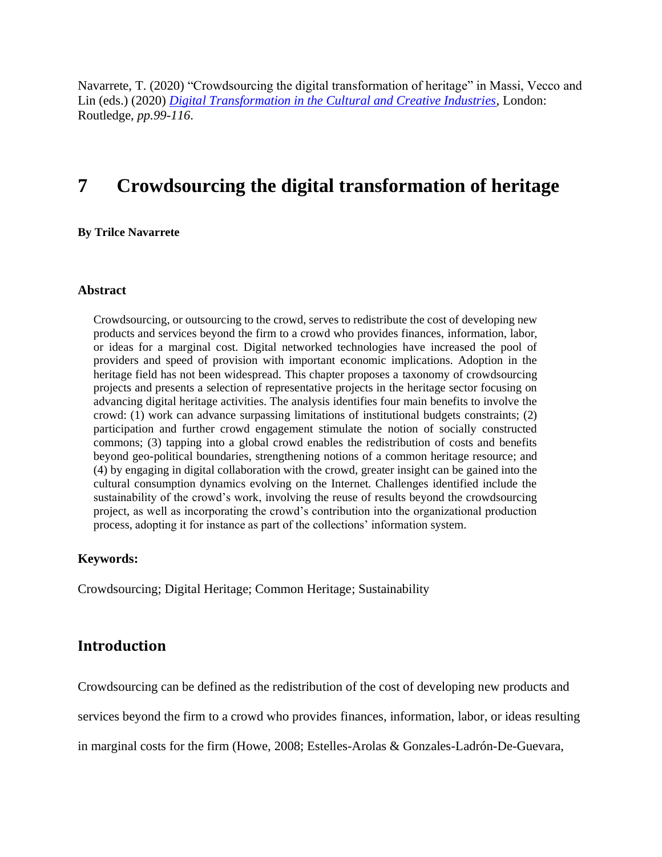Navarrete, T. (2020) "Crowdsourcing the digital transformation of heritage" in Massi, Vecco and Lin (eds.) (2020) *Digital Transformation in the Cultural and Creative Industries*, London: Routledge, *pp.99-116*.

# **7 Crowdsourcing the digital transformation of heritage**

#### **By Trilce Navarrete**

#### **Abstract**

Crowdsourcing, or outsourcing to the crowd, serves to redistribute the cost of developing new products and services beyond the firm to a crowd who provides finances, information, labor, or ideas for a marginal cost. Digital networked technologies have increased the pool of providers and speed of provision with important economic implications. Adoption in the heritage field has not been widespread. This chapter proposes a taxonomy of crowdsourcing projects and presents a selection of representative projects in the heritage sector focusing on advancing digital heritage activities. The analysis identifies four main benefits to involve the crowd: (1) work can advance surpassing limitations of institutional budgets constraints; (2) participation and further crowd engagement stimulate the notion of socially constructed commons; (3) tapping into a global crowd enables the redistribution of costs and benefits beyond geo-political boundaries, strengthening notions of a common heritage resource; and (4) by engaging in digital collaboration with the crowd, greater insight can be gained into the cultural consumption dynamics evolving on the Internet. Challenges identified include the sustainability of the crowd's work, involving the reuse of results beyond the crowdsourcing project, as well as incorporating the crowd's contribution into the organizational production process, adopting it for instance as part of the collections' information system.

### **Keywords:**

Crowdsourcing; Digital Heritage; Common Heritage; Sustainability

## **Introduction**

Crowdsourcing can be defined as the redistribution of the cost of developing new products and

services beyond the firm to a crowd who provides finances, information, labor, or ideas resulting

in marginal costs for the firm (Howe, 2008; Estelles-Arolas & Gonzales-Ladrón-De-Guevara,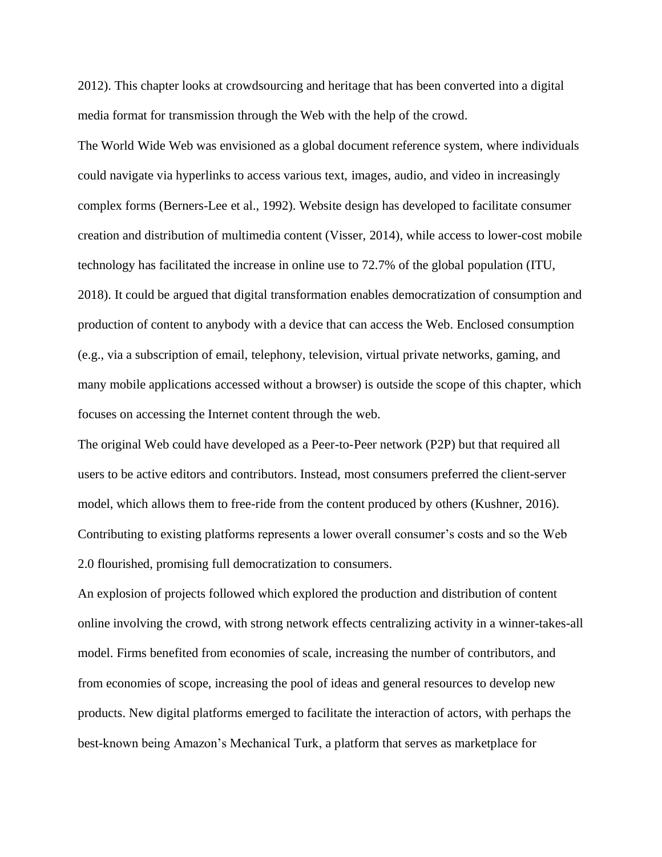2012). This chapter looks at crowdsourcing and heritage that has been converted into a digital media format for transmission through the Web with the help of the crowd.

The World Wide Web was envisioned as a global document reference system, where individuals could navigate via hyperlinks to access various text, images, audio, and video in increasingly complex forms (Berners-Lee et al., 1992). Website design has developed to facilitate consumer creation and distribution of multimedia content (Visser, 2014), while access to lower-cost mobile technology has facilitated the increase in online use to 72.7% of the global population (ITU, 2018). It could be argued that digital transformation enables democratization of consumption and production of content to anybody with a device that can access the Web. Enclosed consumption (e.g., via a subscription of email, telephony, television, virtual private networks, gaming, and many mobile applications accessed without a browser) is outside the scope of this chapter, which focuses on accessing the Internet content through the web.

The original Web could have developed as a Peer-to-Peer network (P2P) but that required all users to be active editors and contributors. Instead, most consumers preferred the client-server model, which allows them to free-ride from the content produced by others (Kushner, 2016). Contributing to existing platforms represents a lower overall consumer's costs and so the Web 2.0 flourished, promising full democratization to consumers.

An explosion of projects followed which explored the production and distribution of content online involving the crowd, with strong network effects centralizing activity in a winner-takes-all model. Firms benefited from economies of scale, increasing the number of contributors, and from economies of scope, increasing the pool of ideas and general resources to develop new products. New digital platforms emerged to facilitate the interaction of actors, with perhaps the best-known being Amazon's Mechanical Turk, a platform that serves as marketplace for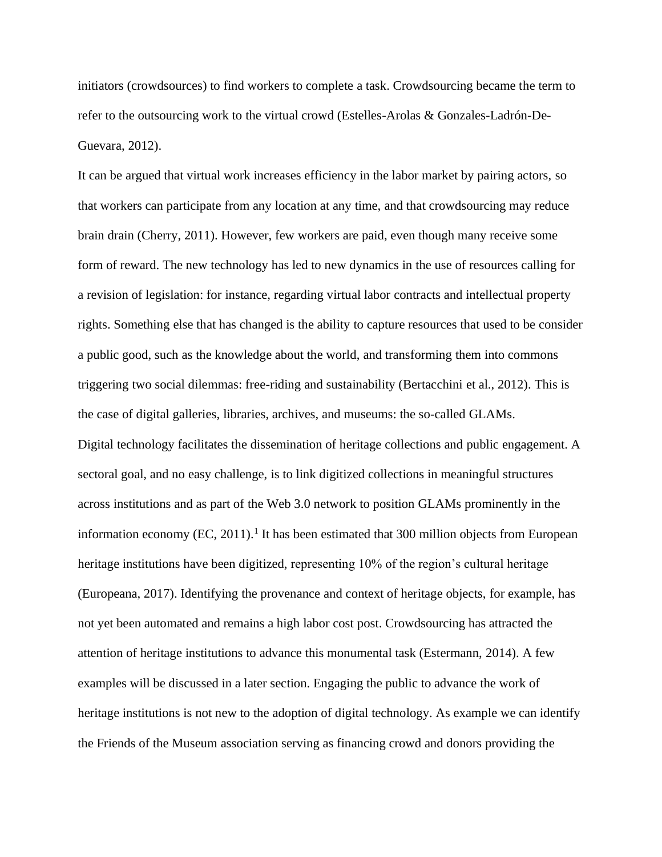initiators (crowdsources) to find workers to complete a task. Crowdsourcing became the term to refer to the outsourcing work to the virtual crowd (Estelles-Arolas & Gonzales-Ladrón-De-Guevara, 2012).

It can be argued that virtual work increases efficiency in the labor market by pairing actors, so that workers can participate from any location at any time, and that crowdsourcing may reduce brain drain (Cherry, 2011). However, few workers are paid, even though many receive some form of reward. The new technology has led to new dynamics in the use of resources calling for a revision of legislation: for instance, regarding virtual labor contracts and intellectual property rights. Something else that has changed is the ability to capture resources that used to be consider a public good, such as the knowledge about the world, and transforming them into commons triggering two social dilemmas: free-riding and sustainability (Bertacchini et al., 2012). This is the case of digital galleries, libraries, archives, and museums: the so-called GLAMs. Digital technology facilitates the dissemination of heritage collections and public engagement. A sectoral goal, and no easy challenge, is to link digitized collections in meaningful structures across institutions and as part of the Web 3.0 network to position GLAMs prominently in the information economy (EC, 2011).<sup>1</sup> It has been estimated that 300 million objects from European heritage institutions have been digitized, representing 10% of the region's cultural heritage (Europeana, 2017). Identifying the provenance and context of heritage objects, for example, has not yet been automated and remains a high labor cost post. Crowdsourcing has attracted the attention of heritage institutions to advance this monumental task (Estermann, 2014). A few examples will be discussed in a later section. Engaging the public to advance the work of heritage institutions is not new to the adoption of digital technology. As example we can identify the Friends of the Museum association serving as financing crowd and donors providing the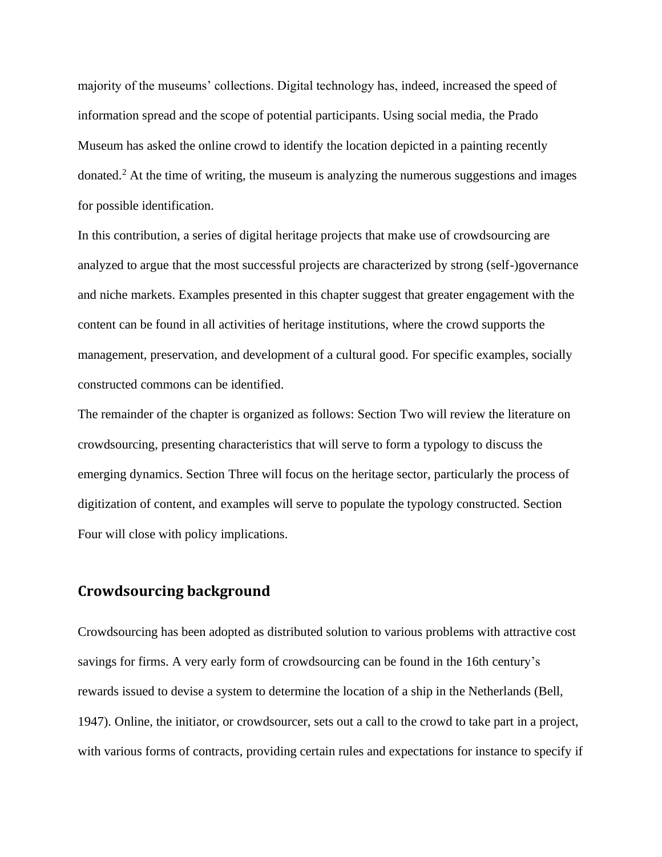majority of the museums' collections. Digital technology has, indeed, increased the speed of information spread and the scope of potential participants. Using social media, the Prado Museum has asked the online crowd to identify the location depicted in a painting recently donated.<sup>2</sup> At the time of writing, the museum is analyzing the numerous suggestions and images for possible identification.

In this contribution, a series of digital heritage projects that make use of crowdsourcing are analyzed to argue that the most successful projects are characterized by strong (self-)governance and niche markets. Examples presented in this chapter suggest that greater engagement with the content can be found in all activities of heritage institutions, where the crowd supports the management, preservation, and development of a cultural good. For specific examples, socially constructed commons can be identified.

The remainder of the chapter is organized as follows: Section Two will review the literature on crowdsourcing, presenting characteristics that will serve to form a typology to discuss the emerging dynamics. Section Three will focus on the heritage sector, particularly the process of digitization of content, and examples will serve to populate the typology constructed. Section Four will close with policy implications.

## **Crowdsourcing background**

Crowdsourcing has been adopted as distributed solution to various problems with attractive cost savings for firms. A very early form of crowdsourcing can be found in the 16th century's rewards issued to devise a system to determine the location of a ship in the Netherlands (Bell, 1947). Online, the initiator, or crowdsourcer, sets out a call to the crowd to take part in a project, with various forms of contracts, providing certain rules and expectations for instance to specify if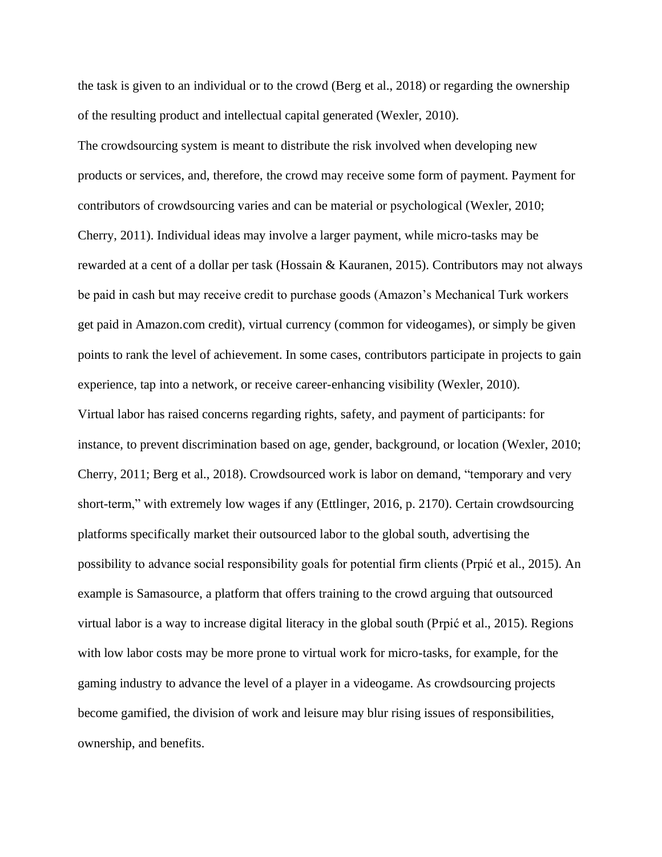the task is given to an individual or to the crowd (Berg et al., 2018) or regarding the ownership of the resulting product and intellectual capital generated (Wexler, 2010).

The crowdsourcing system is meant to distribute the risk involved when developing new products or services, and, therefore, the crowd may receive some form of payment. Payment for contributors of crowdsourcing varies and can be material or psychological (Wexler, 2010; Cherry, 2011). Individual ideas may involve a larger payment, while micro-tasks may be rewarded at a cent of a dollar per task (Hossain & Kauranen, 2015). Contributors may not always be paid in cash but may receive credit to purchase goods (Amazon's Mechanical Turk workers get paid in Amazon.com credit), virtual currency (common for videogames), or simply be given points to rank the level of achievement. In some cases, contributors participate in projects to gain experience, tap into a network, or receive career-enhancing visibility (Wexler, 2010). Virtual labor has raised concerns regarding rights, safety, and payment of participants: for instance, to prevent discrimination based on age, gender, background, or location (Wexler, 2010; Cherry, 2011; Berg et al., 2018). Crowdsourced work is labor on demand, "temporary and very short-term," with extremely low wages if any (Ettlinger, 2016, p. 2170). Certain crowdsourcing platforms specifically market their outsourced labor to the global south, advertising the possibility to advance social responsibility goals for potential firm clients (Prpić et al., 2015). An example is Samasource, a platform that offers training to the crowd arguing that outsourced virtual labor is a way to increase digital literacy in the global south (Prpić et al., 2015). Regions with low labor costs may be more prone to virtual work for micro-tasks, for example, for the gaming industry to advance the level of a player in a videogame. As crowdsourcing projects become gamified, the division of work and leisure may blur rising issues of responsibilities, ownership, and benefits.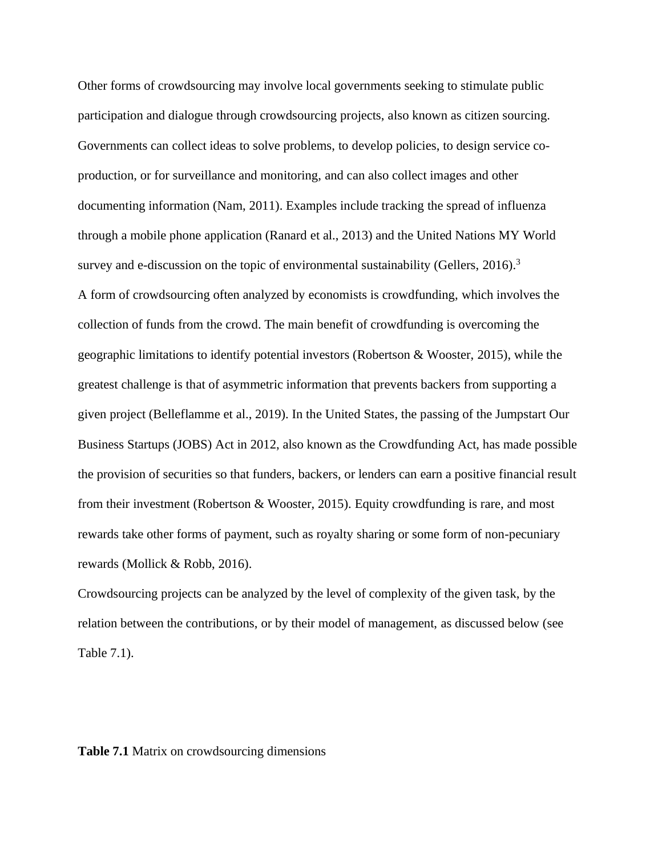Other forms of crowdsourcing may involve local governments seeking to stimulate public participation and dialogue through crowdsourcing projects, also known as citizen sourcing. Governments can collect ideas to solve problems, to develop policies, to design service coproduction, or for surveillance and monitoring, and can also collect images and other documenting information (Nam, 2011). Examples include tracking the spread of influenza through a mobile phone application (Ranard et al., 2013) and the United Nations MY World survey and e-discussion on the topic of environmental sustainability (Gellers, 2016).<sup>3</sup> A form of crowdsourcing often analyzed by economists is crowdfunding, which involves the collection of funds from the crowd. The main benefit of crowdfunding is overcoming the geographic limitations to identify potential investors (Robertson & Wooster, 2015), while the greatest challenge is that of asymmetric information that prevents backers from supporting a given project (Belleflamme et al., 2019). In the United States, the passing of the Jumpstart Our Business Startups (JOBS) Act in 2012, also known as the Crowdfunding Act, has made possible the provision of securities so that funders, backers, or lenders can earn a positive financial result from their investment (Robertson & Wooster, 2015). Equity crowdfunding is rare, and most rewards take other forms of payment, such as royalty sharing or some form of non-pecuniary rewards (Mollick & Robb, 2016).

Crowdsourcing projects can be analyzed by the level of complexity of the given task, by the relation between the contributions, or by their model of management, as discussed below (see Table 7.1).

**Table 7.1** Matrix on crowdsourcing dimensions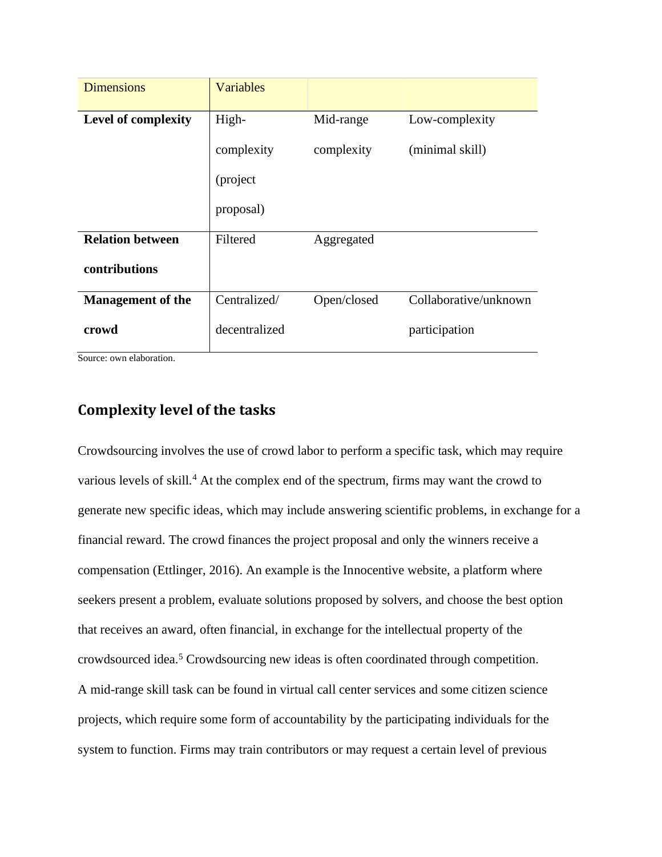| <b>Dimensions</b>        | Variables     |             |                       |
|--------------------------|---------------|-------------|-----------------------|
| Level of complexity      | High-         | Mid-range   | Low-complexity        |
|                          | complexity    | complexity  | (minimal skill)       |
|                          | (project      |             |                       |
|                          | proposal)     |             |                       |
| <b>Relation between</b>  | Filtered      | Aggregated  |                       |
| contributions            |               |             |                       |
| <b>Management of the</b> | Centralized/  | Open/closed | Collaborative/unknown |
| crowd                    | decentralized |             | participation         |

Source: own elaboration.

# **Complexity level of the tasks**

Crowdsourcing involves the use of crowd labor to perform a specific task, which may require various levels of skill.<sup>4</sup> At the complex end of the spectrum, firms may want the crowd to generate new specific ideas, which may include answering scientific problems, in exchange for a financial reward. The crowd finances the project proposal and only the winners receive a compensation (Ettlinger, 2016). An example is the Innocentive website, a platform where seekers present a problem, evaluate solutions proposed by solvers, and choose the best option that receives an award, often financial, in exchange for the intellectual property of the crowdsourced idea.<sup>5</sup> Crowdsourcing new ideas is often coordinated through competition. A mid-range skill task can be found in virtual call center services and some citizen science projects, which require some form of accountability by the participating individuals for the system to function. Firms may train contributors or may request a certain level of previous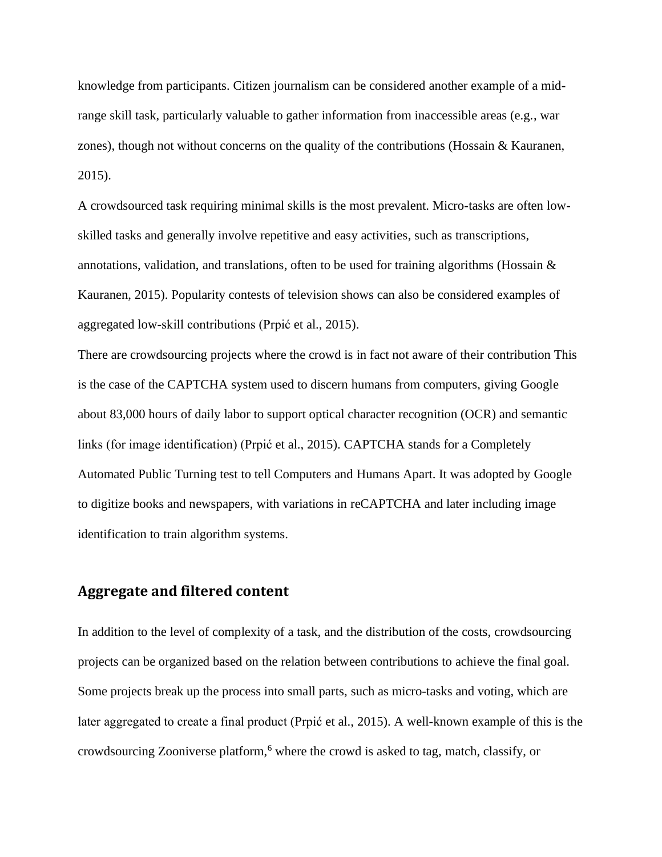knowledge from participants. Citizen journalism can be considered another example of a midrange skill task, particularly valuable to gather information from inaccessible areas (e.g., war zones), though not without concerns on the quality of the contributions (Hossain & Kauranen, 2015).

A crowdsourced task requiring minimal skills is the most prevalent. Micro-tasks are often lowskilled tasks and generally involve repetitive and easy activities, such as transcriptions, annotations, validation, and translations, often to be used for training algorithms (Hossain  $\&$ Kauranen, 2015). Popularity contests of television shows can also be considered examples of aggregated low-skill contributions (Prpić et al., 2015).

There are crowdsourcing projects where the crowd is in fact not aware of their contribution This is the case of the CAPTCHA system used to discern humans from computers, giving Google about 83,000 hours of daily labor to support optical character recognition (OCR) and semantic links (for image identification) (Prpić et al., 2015). CAPTCHA stands for a Completely Automated Public Turning test to tell Computers and Humans Apart. It was adopted by Google to digitize books and newspapers, with variations in reCAPTCHA and later including image identification to train algorithm systems.

### **Aggregate and filtered content**

In addition to the level of complexity of a task, and the distribution of the costs, crowdsourcing projects can be organized based on the relation between contributions to achieve the final goal. Some projects break up the process into small parts, such as micro-tasks and voting, which are later aggregated to create a final product (Prpić et al., 2015). A well-known example of this is the crowdsourcing Zooniverse platform,<sup>6</sup> where the crowd is asked to tag, match, classify, or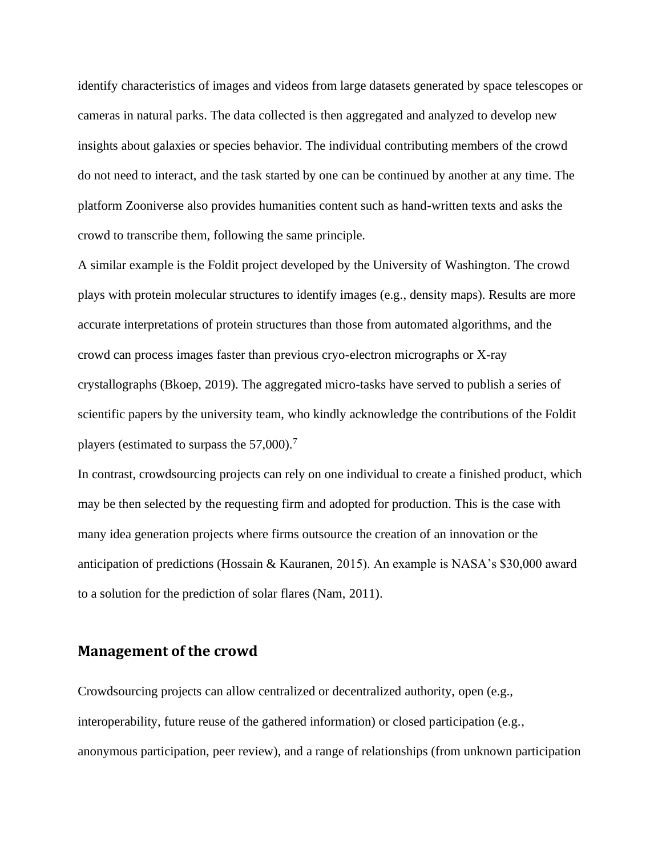identify characteristics of images and videos from large datasets generated by space telescopes or cameras in natural parks. The data collected is then aggregated and analyzed to develop new insights about galaxies or species behavior. The individual contributing members of the crowd do not need to interact, and the task started by one can be continued by another at any time. The platform Zooniverse also provides humanities content such as hand-written texts and asks the crowd to transcribe them, following the same principle.

A similar example is the Foldit project developed by the University of Washington. The crowd plays with protein molecular structures to identify images (e.g., density maps). Results are more accurate interpretations of protein structures than those from automated algorithms, and the crowd can process images faster than previous cryo-electron micrographs or X-ray crystallographs (Bkoep, 2019). The aggregated micro-tasks have served to publish a series of scientific papers by the university team, who kindly acknowledge the contributions of the Foldit players (estimated to surpass the  $57,000$ ).<sup>7</sup>

In contrast, crowdsourcing projects can rely on one individual to create a finished product, which may be then selected by the requesting firm and adopted for production. This is the case with many idea generation projects where firms outsource the creation of an innovation or the anticipation of predictions (Hossain & Kauranen, 2015). An example is NASA's \$30,000 award to a solution for the prediction of solar flares (Nam, 2011).

## **Management of the crowd**

Crowdsourcing projects can allow centralized or decentralized authority, open (e.g., interoperability, future reuse of the gathered information) or closed participation (e.g., anonymous participation, peer review), and a range of relationships (from unknown participation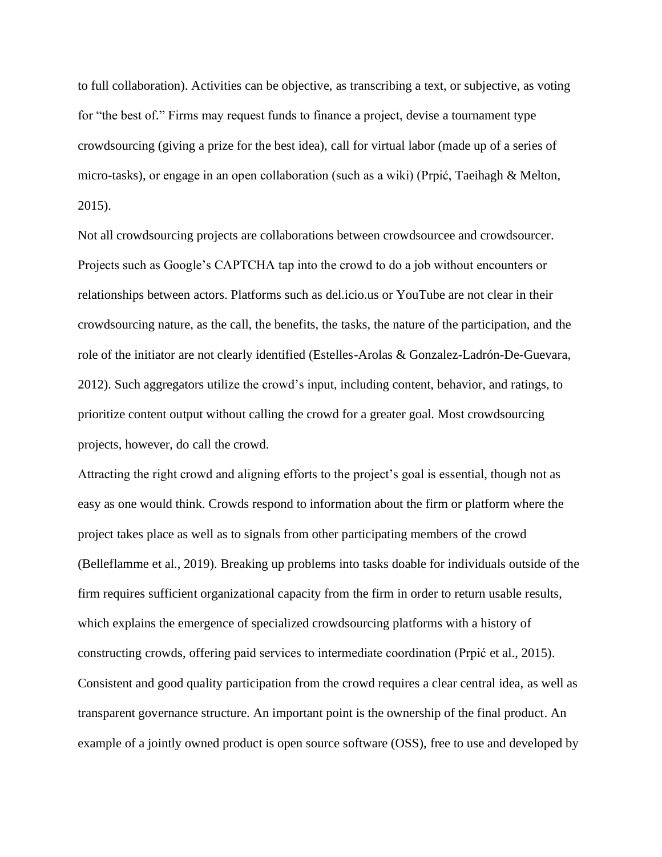to full collaboration). Activities can be objective, as transcribing a text, or subjective, as voting for "the best of." Firms may request funds to finance a project, devise a tournament type crowdsourcing (giving a prize for the best idea), call for virtual labor (made up of a series of micro-tasks), or engage in an open collaboration (such as a wiki) (Prpić, Taeihagh & Melton, 2015).

Not all crowdsourcing projects are collaborations between crowdsourcee and crowdsourcer. Projects such as Google's CAPTCHA tap into the crowd to do a job without encounters or relationships between actors. Platforms such as del.icio.us or YouTube are not clear in their crowdsourcing nature, as the call, the benefits, the tasks, the nature of the participation, and the role of the initiator are not clearly identified (Estelles-Arolas & Gonzalez-Ladrón-De-Guevara, 2012). Such aggregators utilize the crowd's input, including content, behavior, and ratings, to prioritize content output without calling the crowd for a greater goal. Most crowdsourcing projects, however, do call the crowd.

Attracting the right crowd and aligning efforts to the project's goal is essential, though not as easy as one would think. Crowds respond to information about the firm or platform where the project takes place as well as to signals from other participating members of the crowd (Belleflamme et al., 2019). Breaking up problems into tasks doable for individuals outside of the firm requires sufficient organizational capacity from the firm in order to return usable results, which explains the emergence of specialized crowdsourcing platforms with a history of constructing crowds, offering paid services to intermediate coordination (Prpić et al., 2015). Consistent and good quality participation from the crowd requires a clear central idea, as well as transparent governance structure. An important point is the ownership of the final product. An example of a jointly owned product is open source software (OSS), free to use and developed by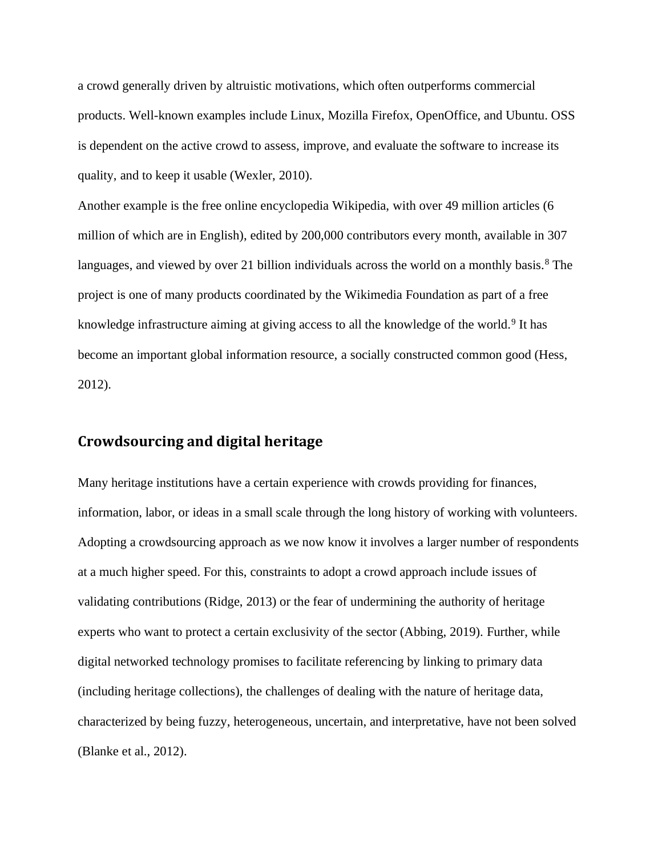a crowd generally driven by altruistic motivations, which often outperforms commercial products. Well-known examples include Linux, Mozilla Firefox, OpenOffice, and Ubuntu. OSS is dependent on the active crowd to assess, improve, and evaluate the software to increase its quality, and to keep it usable (Wexler, 2010).

Another example is the free online encyclopedia Wikipedia, with over 49 million articles (6 million of which are in English), edited by 200,000 contributors every month, available in 307 languages, and viewed by over 21 billion individuals across the world on a monthly basis.<sup>8</sup> The project is one of many products coordinated by the Wikimedia Foundation as part of a free knowledge infrastructure aiming at giving access to all the knowledge of the world.<sup>9</sup> It has become an important global information resource, a socially constructed common good (Hess, 2012).

## **Crowdsourcing and digital heritage**

Many heritage institutions have a certain experience with crowds providing for finances, information, labor, or ideas in a small scale through the long history of working with volunteers. Adopting a crowdsourcing approach as we now know it involves a larger number of respondents at a much higher speed. For this, constraints to adopt a crowd approach include issues of validating contributions (Ridge, 2013) or the fear of undermining the authority of heritage experts who want to protect a certain exclusivity of the sector (Abbing, 2019). Further, while digital networked technology promises to facilitate referencing by linking to primary data (including heritage collections), the challenges of dealing with the nature of heritage data, characterized by being fuzzy, heterogeneous, uncertain, and interpretative, have not been solved (Blanke et al., 2012).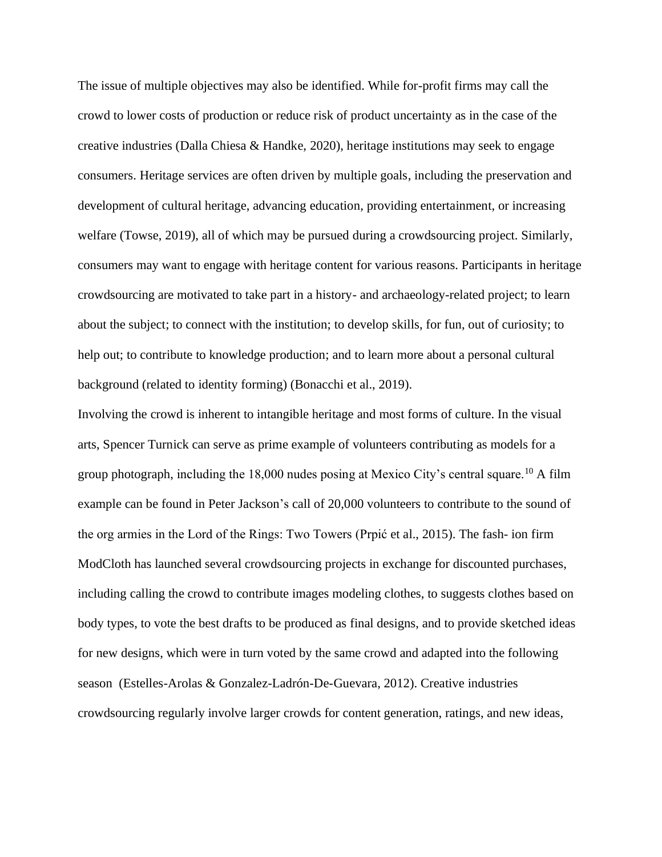The issue of multiple objectives may also be identified. While for-profit firms may call the crowd to lower costs of production or reduce risk of product uncertainty as in the case of the creative industries (Dalla Chiesa & Handke, 2020), heritage institutions may seek to engage consumers. Heritage services are often driven by multiple goals, including the preservation and development of cultural heritage, advancing education, providing entertainment, or increasing welfare (Towse, 2019), all of which may be pursued during a crowdsourcing project. Similarly, consumers may want to engage with heritage content for various reasons. Participants in heritage crowdsourcing are motivated to take part in a history- and archaeology-related project; to learn about the subject; to connect with the institution; to develop skills, for fun, out of curiosity; to help out; to contribute to knowledge production; and to learn more about a personal cultural background (related to identity forming) (Bonacchi et al., 2019).

Involving the crowd is inherent to intangible heritage and most forms of culture. In the visual arts, Spencer Turnick can serve as prime example of volunteers contributing as models for a group photograph, including the  $18,000$  nudes posing at Mexico City's central square.<sup>10</sup> A film example can be found in Peter Jackson's call of 20,000 volunteers to contribute to the sound of the org armies in the Lord of the Rings: Two Towers (Prpić et al., 2015). The fash- ion firm ModCloth has launched several crowdsourcing projects in exchange for discounted purchases, including calling the crowd to contribute images modeling clothes, to suggests clothes based on body types, to vote the best drafts to be produced as final designs, and to provide sketched ideas for new designs, which were in turn voted by the same crowd and adapted into the following season (Estelles-Arolas & Gonzalez-Ladrón-De-Guevara, 2012). Creative industries crowdsourcing regularly involve larger crowds for content generation, ratings, and new ideas,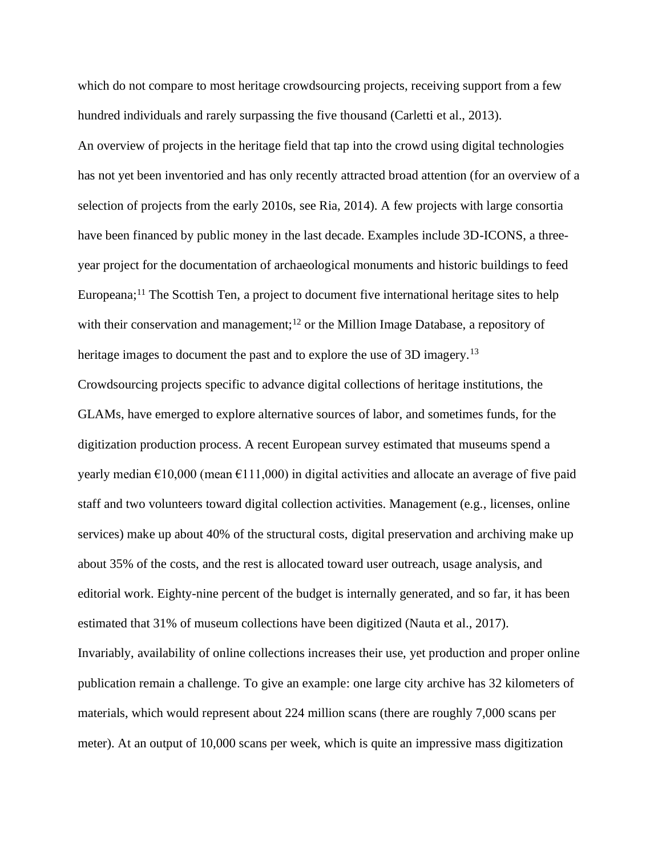which do not compare to most heritage crowdsourcing projects, receiving support from a few hundred individuals and rarely surpassing the five thousand (Carletti et al., 2013).

An overview of projects in the heritage field that tap into the crowd using digital technologies has not yet been inventoried and has only recently attracted broad attention (for an overview of a selection of projects from the early 2010s, see Ria, 2014). A few projects with large consortia have been financed by public money in the last decade. Examples include 3D-ICONS, a threeyear project for the documentation of archaeological monuments and historic buildings to feed Europeana;<sup>11</sup> The Scottish Ten, a project to document five international heritage sites to help with their conservation and management;<sup>12</sup> or the Million Image Database, a repository of heritage images to document the past and to explore the use of 3D imagery.<sup>13</sup>

Crowdsourcing projects specific to advance digital collections of heritage institutions, the GLAMs, have emerged to explore alternative sources of labor, and sometimes funds, for the digitization production process. A recent European survey estimated that museums spend a yearly median  $\epsilon$ 10,000 (mean  $\epsilon$ 111,000) in digital activities and allocate an average of five paid staff and two volunteers toward digital collection activities. Management (e.g., licenses, online services) make up about 40% of the structural costs, digital preservation and archiving make up about 35% of the costs, and the rest is allocated toward user outreach, usage analysis, and editorial work. Eighty-nine percent of the budget is internally generated, and so far, it has been estimated that 31% of museum collections have been digitized (Nauta et al., 2017). Invariably, availability of online collections increases their use, yet production and proper online publication remain a challenge. To give an example: one large city archive has 32 kilometers of materials, which would represent about 224 million scans (there are roughly 7,000 scans per meter). At an output of 10,000 scans per week, which is quite an impressive mass digitization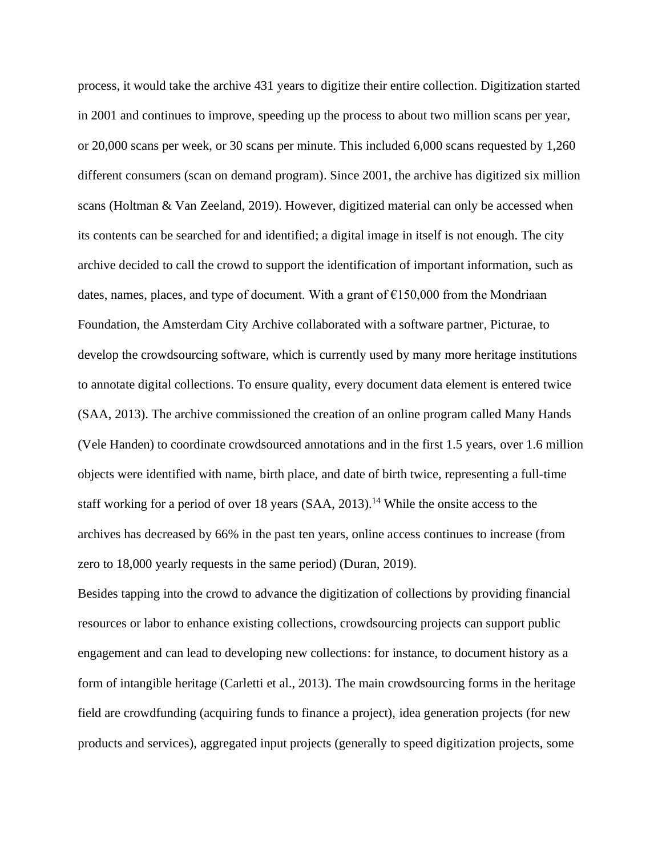process, it would take the archive 431 years to digitize their entire collection. Digitization started in 2001 and continues to improve, speeding up the process to about two million scans per year, or 20,000 scans per week, or 30 scans per minute. This included 6,000 scans requested by 1,260 different consumers (scan on demand program). Since 2001, the archive has digitized six million scans (Holtman & Van Zeeland, 2019). However, digitized material can only be accessed when its contents can be searched for and identified; a digital image in itself is not enough. The city archive decided to call the crowd to support the identification of important information, such as dates, names, places, and type of document. With a grant of  $\epsilon$ 150,000 from the Mondriaan Foundation, the Amsterdam City Archive collaborated with a software partner, Picturae, to develop the crowdsourcing software, which is currently used by many more heritage institutions to annotate digital collections. To ensure quality, every document data element is entered twice (SAA, 2013). The archive commissioned the creation of an online program called Many Hands (Vele Handen) to coordinate crowdsourced annotations and in the first 1.5 years, over 1.6 million objects were identified with name, birth place, and date of birth twice, representing a full-time staff working for a period of over 18 years (SAA, 2013).<sup>14</sup> While the onsite access to the archives has decreased by 66% in the past ten years, online access continues to increase (from zero to 18,000 yearly requests in the same period) (Duran, 2019).

Besides tapping into the crowd to advance the digitization of collections by providing financial resources or labor to enhance existing collections, crowdsourcing projects can support public engagement and can lead to developing new collections: for instance, to document history as a form of intangible heritage (Carletti et al., 2013). The main crowdsourcing forms in the heritage field are crowdfunding (acquiring funds to finance a project), idea generation projects (for new products and services), aggregated input projects (generally to speed digitization projects, some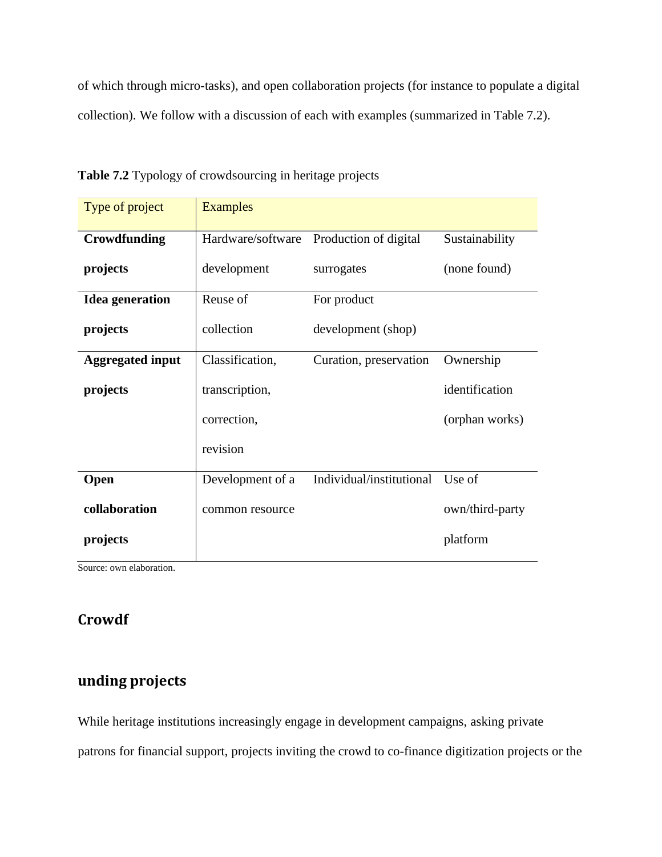of which through micro-tasks), and open collaboration projects (for instance to populate a digital collection). We follow with a discussion of each with examples (summarized in Table 7.2).

| Type of project         | <b>Examples</b>   |                          |                 |
|-------------------------|-------------------|--------------------------|-----------------|
| Crowdfunding            | Hardware/software | Production of digital    | Sustainability  |
| projects                | development       | surrogates               | (none found)    |
| <b>Idea</b> generation  | Reuse of          | For product              |                 |
| projects                | collection        | development (shop)       |                 |
| <b>Aggregated input</b> | Classification,   | Curation, preservation   | Ownership       |
| projects                | transcription,    |                          | identification  |
|                         | correction,       |                          | (orphan works)  |
|                         | revision          |                          |                 |
| <b>Open</b>             | Development of a  | Individual/institutional | Use of          |
| collaboration           | common resource   |                          | own/third-party |
| projects                |                   |                          | platform        |

**Table 7.2** Typology of crowdsourcing in heritage projects

Source: own elaboration.

# **Crowdf**

# **unding projects**

While heritage institutions increasingly engage in development campaigns, asking private patrons for financial support, projects inviting the crowd to co-finance digitization projects or the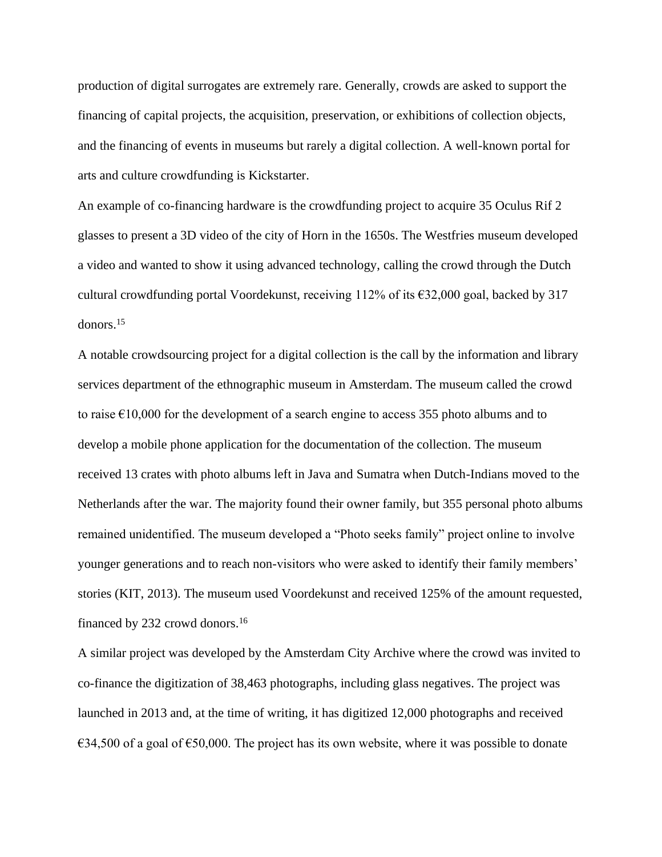production of digital surrogates are extremely rare. Generally, crowds are asked to support the financing of capital projects, the acquisition, preservation, or exhibitions of collection objects, and the financing of events in museums but rarely a digital collection. A well-known portal for arts and culture crowdfunding is Kickstarter.

An example of co-financing hardware is the crowdfunding project to acquire 35 Oculus Rif 2 glasses to present a 3D video of the city of Horn in the 1650s. The Westfries museum developed a video and wanted to show it using advanced technology, calling the crowd through the Dutch cultural crowdfunding portal Voordekunst, receiving 112% of its €32,000 goal, backed by 317 donors.<sup>15</sup>

A notable crowdsourcing project for a digital collection is the call by the information and library services department of the ethnographic museum in Amsterdam. The museum called the crowd to raise €10,000 for the development of a search engine to access 355 photo albums and to develop a mobile phone application for the documentation of the collection. The museum received 13 crates with photo albums left in Java and Sumatra when Dutch-Indians moved to the Netherlands after the war. The majority found their owner family, but 355 personal photo albums remained unidentified. The museum developed a "Photo seeks family" project online to involve younger generations and to reach non-visitors who were asked to identify their family members' stories (KIT, 2013). The museum used Voordekunst and received 125% of the amount requested, financed by 232 crowd donors.<sup>16</sup>

A similar project was developed by the Amsterdam City Archive where the crowd was invited to co-finance the digitization of 38,463 photographs, including glass negatives. The project was launched in 2013 and, at the time of writing, it has digitized 12,000 photographs and received €34,500 of a goal of €50,000. The project has its own website, where it was possible to donate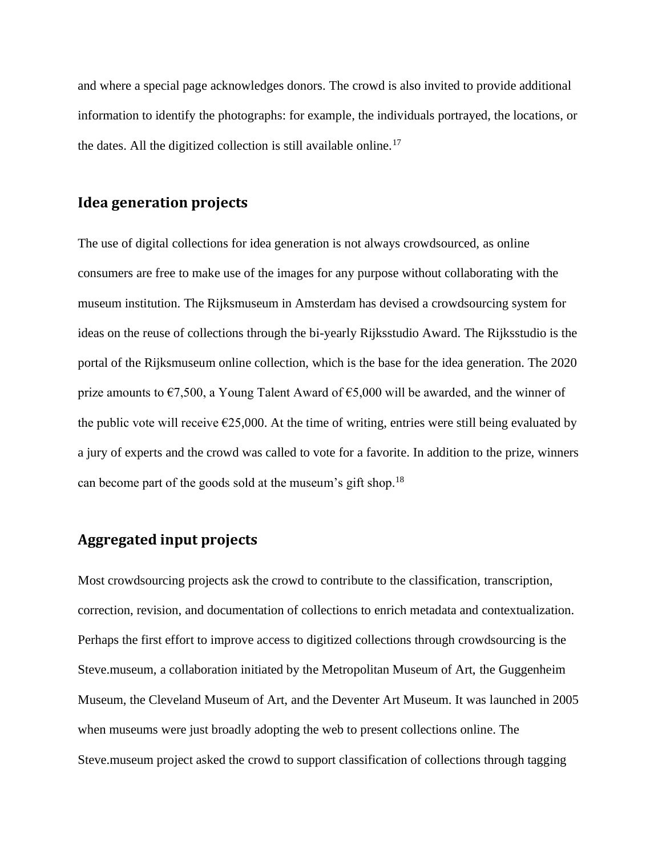and where a special page acknowledges donors. The crowd is also invited to provide additional information to identify the photographs: for example, the individuals portrayed, the locations, or the dates. All the digitized collection is still available online.<sup>17</sup>

## **Idea generation projects**

The use of digital collections for idea generation is not always crowdsourced, as online consumers are free to make use of the images for any purpose without collaborating with the museum institution. The Rijksmuseum in Amsterdam has devised a crowdsourcing system for ideas on the reuse of collections through the bi-yearly Rijksstudio Award. The Rijksstudio is the portal of the Rijksmuseum online collection, which is the base for the idea generation. The 2020 prize amounts to  $\epsilon$ 7,500, a Young Talent Award of  $\epsilon$ 5,000 will be awarded, and the winner of the public vote will receive  $\epsilon$ 25,000. At the time of writing, entries were still being evaluated by a jury of experts and the crowd was called to vote for a favorite. In addition to the prize, winners can become part of the goods sold at the museum's gift shop.<sup>18</sup>

# **Aggregated input projects**

Most crowdsourcing projects ask the crowd to contribute to the classification, transcription, correction, revision, and documentation of collections to enrich metadata and contextualization. Perhaps the first effort to improve access to digitized collections through crowdsourcing is the Steve.museum, a collaboration initiated by the Metropolitan Museum of Art, the Guggenheim Museum, the Cleveland Museum of Art, and the Deventer Art Museum. It was launched in 2005 when museums were just broadly adopting the web to present collections online. The Steve.museum project asked the crowd to support classification of collections through tagging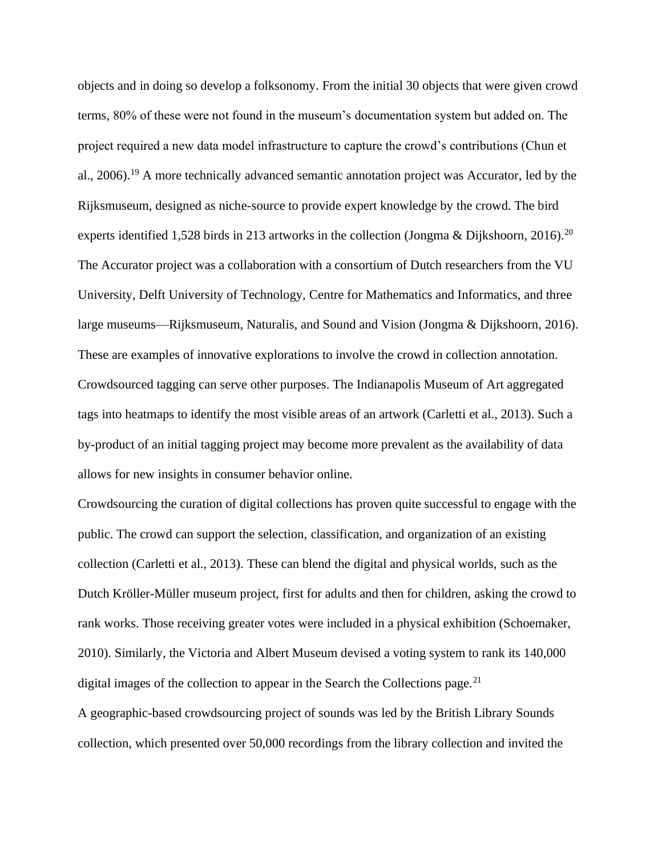objects and in doing so develop a folksonomy. From the initial 30 objects that were given crowd terms, 80% of these were not found in the museum's documentation system but added on. The project required a new data model infrastructure to capture the crowd's contributions (Chun et al., 2006).<sup>19</sup> A more technically advanced semantic annotation project was Accurator, led by the Rijksmuseum, designed as niche-source to provide expert knowledge by the crowd. The bird experts identified 1,528 birds in 213 artworks in the collection (Jongma & Dijkshoorn, 2016).<sup>20</sup> The Accurator project was a collaboration with a consortium of Dutch researchers from the VU University, Delft University of Technology, Centre for Mathematics and Informatics, and three large museums—Rijksmuseum, Naturalis, and Sound and Vision (Jongma & Dijkshoorn, 2016). These are examples of innovative explorations to involve the crowd in collection annotation. Crowdsourced tagging can serve other purposes. The Indianapolis Museum of Art aggregated tags into heatmaps to identify the most visible areas of an artwork (Carletti et al., 2013). Such a by-product of an initial tagging project may become more prevalent as the availability of data allows for new insights in consumer behavior online.

Crowdsourcing the curation of digital collections has proven quite successful to engage with the public. The crowd can support the selection, classification, and organization of an existing collection (Carletti et al., 2013). These can blend the digital and physical worlds, such as the Dutch Kröller-Müller museum project, first for adults and then for children, asking the crowd to rank works. Those receiving greater votes were included in a physical exhibition (Schoemaker, 2010). Similarly, the Victoria and Albert Museum devised a voting system to rank its 140,000 digital images of the collection to appear in the Search the Collections page.<sup>21</sup> A geographic-based crowdsourcing project of sounds was led by the British Library Sounds

collection, which presented over 50,000 recordings from the library collection and invited the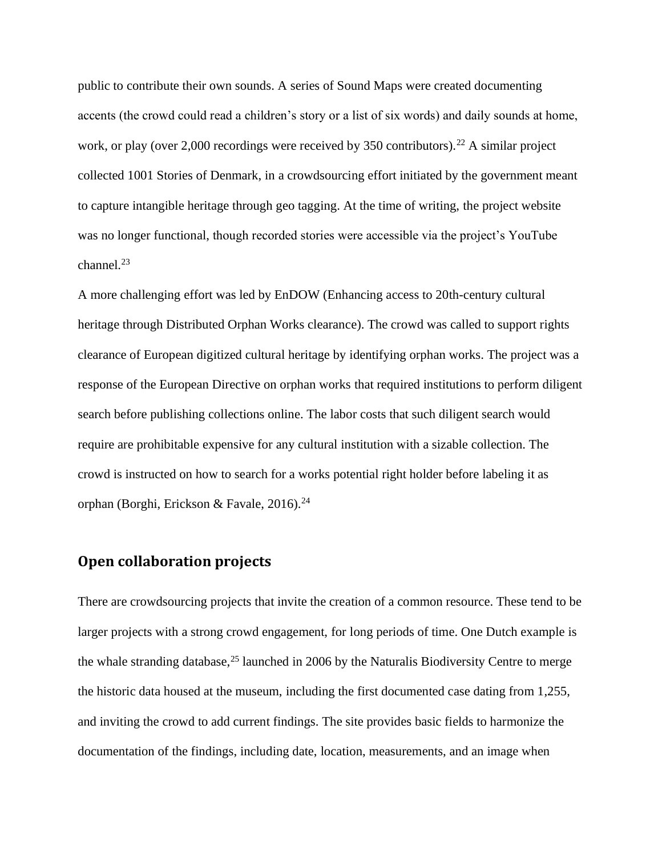public to contribute their own sounds. A series of Sound Maps were created documenting accents (the crowd could read a children's story or a list of six words) and daily sounds at home, work, or play (over 2,000 recordings were received by 350 contributors).<sup>22</sup> A similar project collected 1001 Stories of Denmark, in a crowdsourcing effort initiated by the government meant to capture intangible heritage through geo tagging. At the time of writing, the project website was no longer functional, though recorded stories were accessible via the project's YouTube channel.<sup>23</sup>

A more challenging effort was led by EnDOW (Enhancing access to 20th-century cultural heritage through Distributed Orphan Works clearance). The crowd was called to support rights clearance of European digitized cultural heritage by identifying orphan works. The project was a response of the European Directive on orphan works that required institutions to perform diligent search before publishing collections online. The labor costs that such diligent search would require are prohibitable expensive for any cultural institution with a sizable collection. The crowd is instructed on how to search for a works potential right holder before labeling it as orphan (Borghi, Erickson & Favale, 2016).<sup>24</sup>

# **Open collaboration projects**

There are crowdsourcing projects that invite the creation of a common resource. These tend to be larger projects with a strong crowd engagement, for long periods of time. One Dutch example is the whale stranding database,<sup>25</sup> launched in 2006 by the Naturalis Biodiversity Centre to merge the historic data housed at the museum, including the first documented case dating from 1,255, and inviting the crowd to add current findings. The site provides basic fields to harmonize the documentation of the findings, including date, location, measurements, and an image when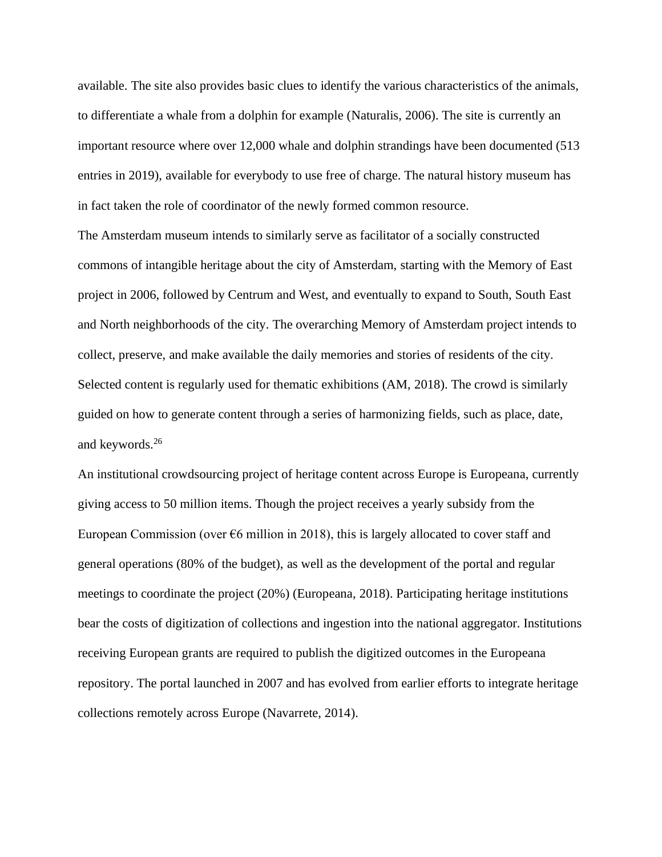available. The site also provides basic clues to identify the various characteristics of the animals, to differentiate a whale from a dolphin for example (Naturalis, 2006). The site is currently an important resource where over 12,000 whale and dolphin strandings have been documented (513 entries in 2019), available for everybody to use free of charge. The natural history museum has in fact taken the role of coordinator of the newly formed common resource.

The Amsterdam museum intends to similarly serve as facilitator of a socially constructed commons of intangible heritage about the city of Amsterdam, starting with the Memory of East project in 2006, followed by Centrum and West, and eventually to expand to South, South East and North neighborhoods of the city. The overarching Memory of Amsterdam project intends to collect, preserve, and make available the daily memories and stories of residents of the city. Selected content is regularly used for thematic exhibitions (AM, 2018). The crowd is similarly guided on how to generate content through a series of harmonizing fields, such as place, date, and keywords.<sup>26</sup>

An institutional crowdsourcing project of heritage content across Europe is Europeana, currently giving access to 50 million items. Though the project receives a yearly subsidy from the European Commission (over  $\epsilon$ 6 million in 2018), this is largely allocated to cover staff and general operations (80% of the budget), as well as the development of the portal and regular meetings to coordinate the project (20%) (Europeana, 2018). Participating heritage institutions bear the costs of digitization of collections and ingestion into the national aggregator. Institutions receiving European grants are required to publish the digitized outcomes in the Europeana repository. The portal launched in 2007 and has evolved from earlier efforts to integrate heritage collections remotely across Europe (Navarrete, 2014).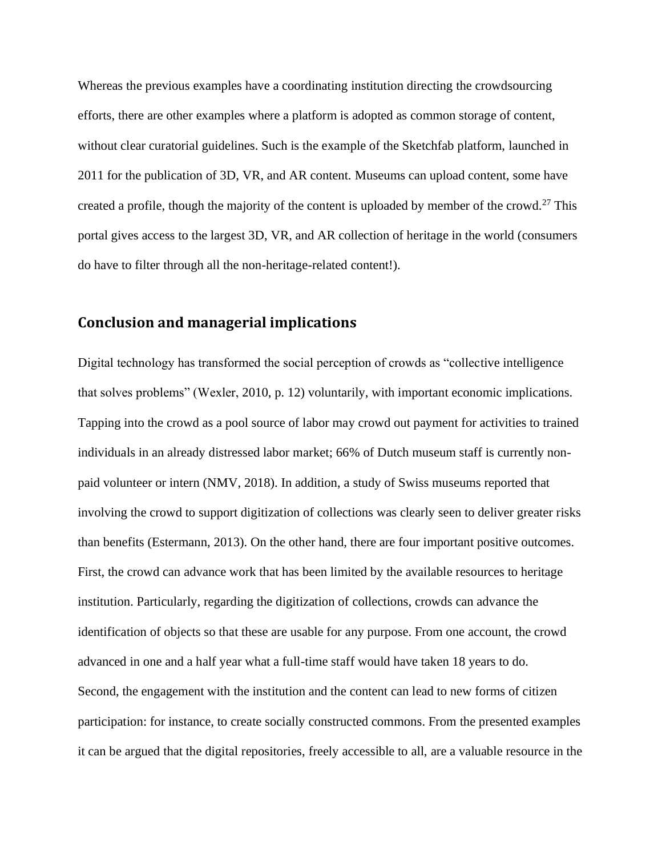Whereas the previous examples have a coordinating institution directing the crowdsourcing efforts, there are other examples where a platform is adopted as common storage of content, without clear curatorial guidelines. Such is the example of the Sketchfab platform, launched in 2011 for the publication of 3D, VR, and AR content. Museums can upload content, some have created a profile, though the majority of the content is uploaded by member of the crowd.<sup>27</sup> This portal gives access to the largest 3D, VR, and AR collection of heritage in the world (consumers do have to filter through all the non-heritage-related content!).

## **Conclusion and managerial implications**

Digital technology has transformed the social perception of crowds as "collective intelligence that solves problems" (Wexler, 2010, p. 12) voluntarily, with important economic implications. Tapping into the crowd as a pool source of labor may crowd out payment for activities to trained individuals in an already distressed labor market; 66% of Dutch museum staff is currently nonpaid volunteer or intern (NMV, 2018). In addition, a study of Swiss museums reported that involving the crowd to support digitization of collections was clearly seen to deliver greater risks than benefits (Estermann, 2013). On the other hand, there are four important positive outcomes. First, the crowd can advance work that has been limited by the available resources to heritage institution. Particularly, regarding the digitization of collections, crowds can advance the identification of objects so that these are usable for any purpose. From one account, the crowd advanced in one and a half year what a full-time staff would have taken 18 years to do. Second, the engagement with the institution and the content can lead to new forms of citizen participation: for instance, to create socially constructed commons. From the presented examples it can be argued that the digital repositories, freely accessible to all, are a valuable resource in the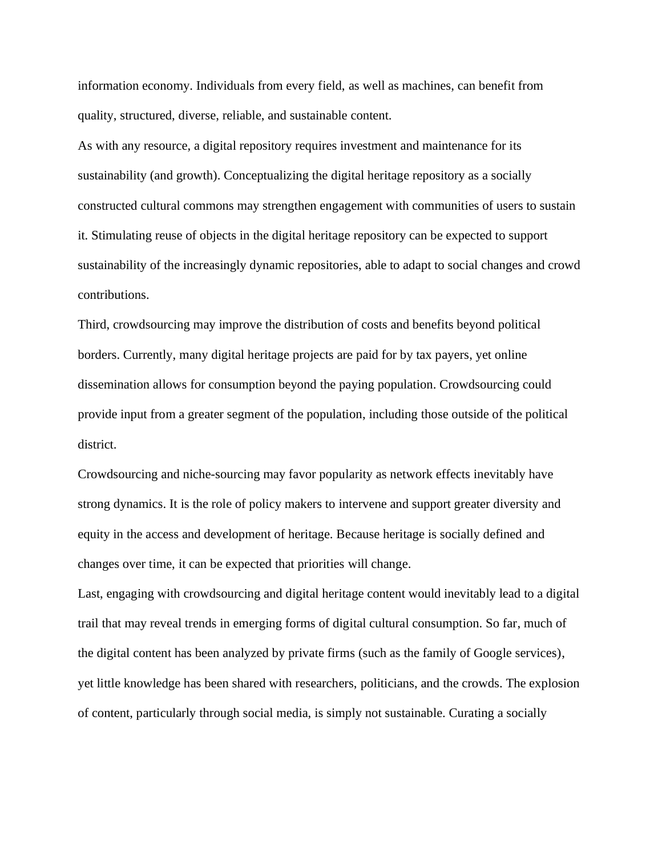information economy. Individuals from every field, as well as machines, can benefit from quality, structured, diverse, reliable, and sustainable content.

As with any resource, a digital repository requires investment and maintenance for its sustainability (and growth). Conceptualizing the digital heritage repository as a socially constructed cultural commons may strengthen engagement with communities of users to sustain it. Stimulating reuse of objects in the digital heritage repository can be expected to support sustainability of the increasingly dynamic repositories, able to adapt to social changes and crowd contributions.

Third, crowdsourcing may improve the distribution of costs and benefits beyond political borders. Currently, many digital heritage projects are paid for by tax payers, yet online dissemination allows for consumption beyond the paying population. Crowdsourcing could provide input from a greater segment of the population, including those outside of the political district.

Crowdsourcing and niche-sourcing may favor popularity as network effects inevitably have strong dynamics. It is the role of policy makers to intervene and support greater diversity and equity in the access and development of heritage. Because heritage is socially defined and changes over time, it can be expected that priorities will change.

Last, engaging with crowdsourcing and digital heritage content would inevitably lead to a digital trail that may reveal trends in emerging forms of digital cultural consumption. So far, much of the digital content has been analyzed by private firms (such as the family of Google services), yet little knowledge has been shared with researchers, politicians, and the crowds. The explosion of content, particularly through social media, is simply not sustainable. Curating a socially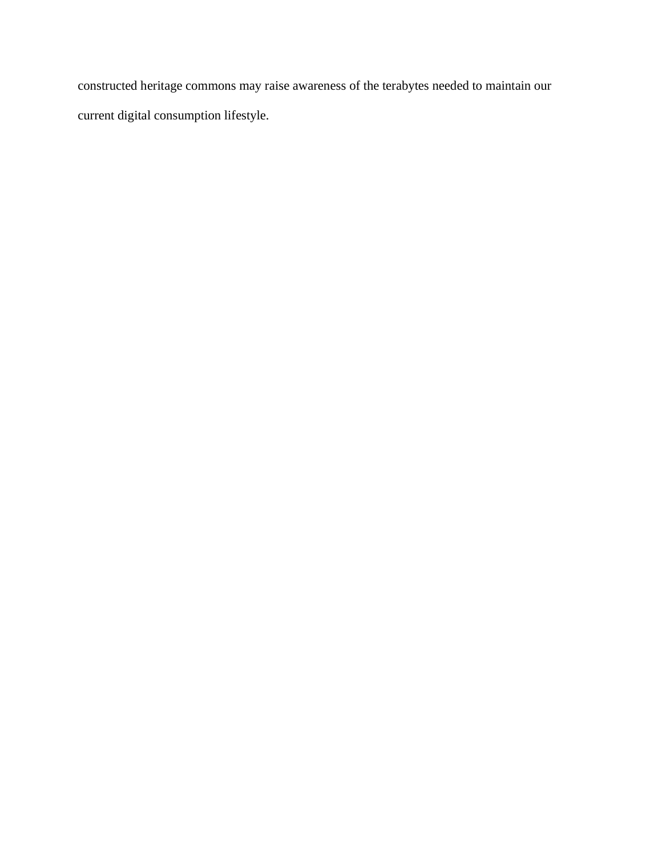constructed heritage commons may raise awareness of the terabytes needed to maintain our current digital consumption lifestyle.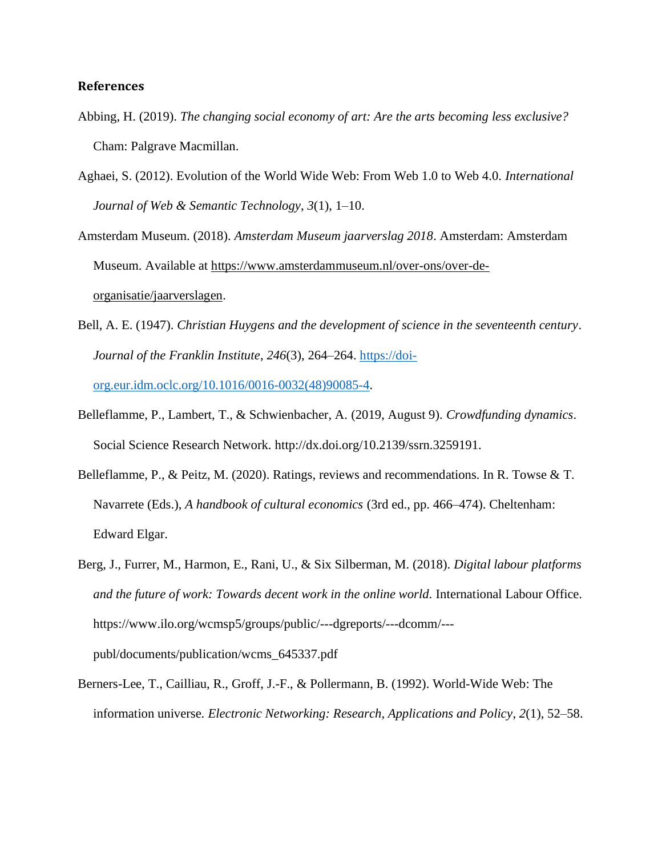### **References**

- Abbing, H. (2019). *The changing social economy of art: Are the arts becoming less exclusive?* Cham: Palgrave Macmillan.
- Aghaei, S. (2012). Evolution of the World Wide Web: From Web 1.0 to Web 4.0. *International Journal of Web & Semantic Technology*, *3*(1), 1–10.

Amsterdam Museum. (2018). *Amsterdam Museum jaarverslag 2018*. Amsterdam: Amsterdam Museum. Available at [https://www.amsterdammuseum.nl/over-ons/over-de](https://www.amsterdammuseum.nl/over-ons/over-de-organisatie/jaarverslagen)[organisatie/jaarverslagen.](https://www.amsterdammuseum.nl/over-ons/over-de-organisatie/jaarverslagen)

- Bell, A. E. (1947). *Christian Huygens and the development of science in the seventeenth century*. *Journal of the Franklin Institute*, *246*(3), 264–264. [https://doi](https://doi-org.eur.idm.oclc.org/10.1016/0016-0032(48)90085-4)[org.eur.idm.oclc.org/10.1016/0016-0032\(48\)90085-4.](https://doi-org.eur.idm.oclc.org/10.1016/0016-0032(48)90085-4)
- Belleflamme, P., Lambert, T., & Schwienbacher, A. (2019, August 9). *Crowdfunding dynamics*. Social Science Research Network. http://dx.doi.org/10.2139/ssrn.3259191.
- Belleflamme, P., & Peitz, M. (2020). Ratings, reviews and recommendations. In R. Towse & T. Navarrete (Eds.), *A handbook of cultural economics* (3rd ed., pp. 466–474). Cheltenham: Edward Elgar.
- Berg, J., Furrer, M., Harmon, E., Rani, U., & Six Silberman, M. (2018). *Digital labour platforms and the future of work: Towards decent work in the online world.* International Labour Office. https://www.ilo.org/wcmsp5/groups/public/---dgreports/---dcomm/-- publ/documents/publication/wcms\_645337.pdf
- Berners-Lee, T., Cailliau, R., Groff, J.-F., & Pollermann, B. (1992). World-Wide Web: The information universe. *Electronic Networking: Research, Applications and Policy*, *2*(1), 52–58.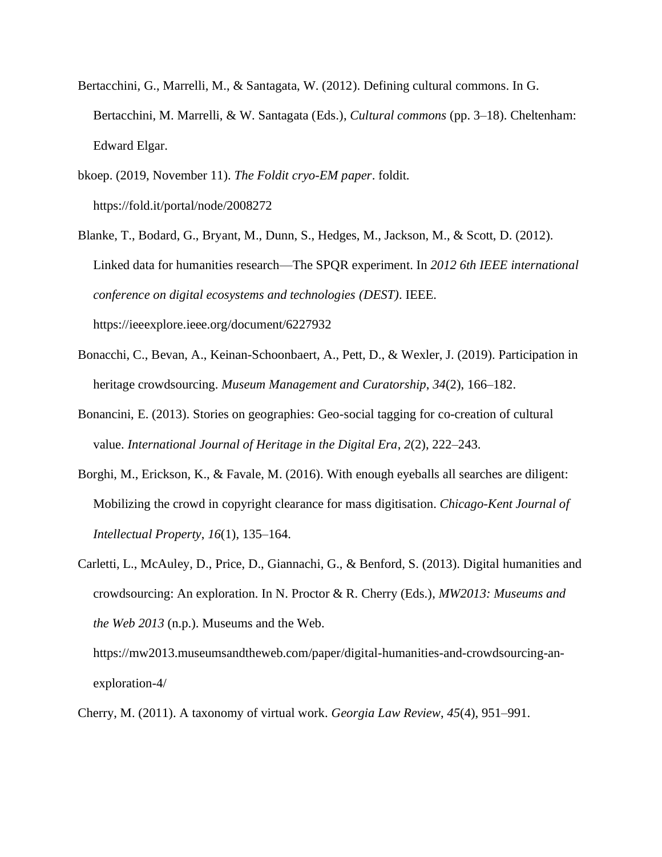- Bertacchini, G., Marrelli, M., & Santagata, W. (2012). Defining cultural commons. In G. Bertacchini, M. Marrelli, & W. Santagata (Eds.), *Cultural commons* (pp. 3–18). Cheltenham: Edward Elgar.
- bkoep. (2019, November 11). *The Foldit cryo-EM paper*. foldit. https://fold.it/portal/node/2008272
- Blanke, T., Bodard, G., Bryant, M., Dunn, S., Hedges, M., Jackson, M., & Scott, D. (2012). Linked data for humanities research—The SPQR experiment. In *2012 6th IEEE international conference on digital ecosystems and technologies (DEST)*. IEEE. https://ieeexplore.ieee.org/document/6227932
- Bonacchi, C., Bevan, A., Keinan-Schoonbaert, A., Pett, D., & Wexler, J. (2019). Participation in heritage crowdsourcing. *Museum Management and Curatorship*, *34*(2), 166–182.
- Bonancini, E. (2013). Stories on geographies: Geo-social tagging for co-creation of cultural value. *International Journal of Heritage in the Digital Era*, *2*(2), 222–243.
- Borghi, M., Erickson, K., & Favale, M. (2016). With enough eyeballs all searches are diligent: Mobilizing the crowd in copyright clearance for mass digitisation. *Chicago-Kent Journal of Intellectual Property*, *16*(1), 135–164.
- Carletti, L., McAuley, D., Price, D., Giannachi, G., & Benford, S. (2013). Digital humanities and crowdsourcing: An exploration. In N. Proctor & R. Cherry (Eds.), *MW2013: Museums and the Web 2013* (n.p.). Museums and the Web.

https://mw2013.museumsandtheweb.com/paper/digital-humanities-and-crowdsourcing-anexploration-4/

Cherry, M. (2011). A taxonomy of virtual work. *Georgia Law Review*, *45*(4), 951–991.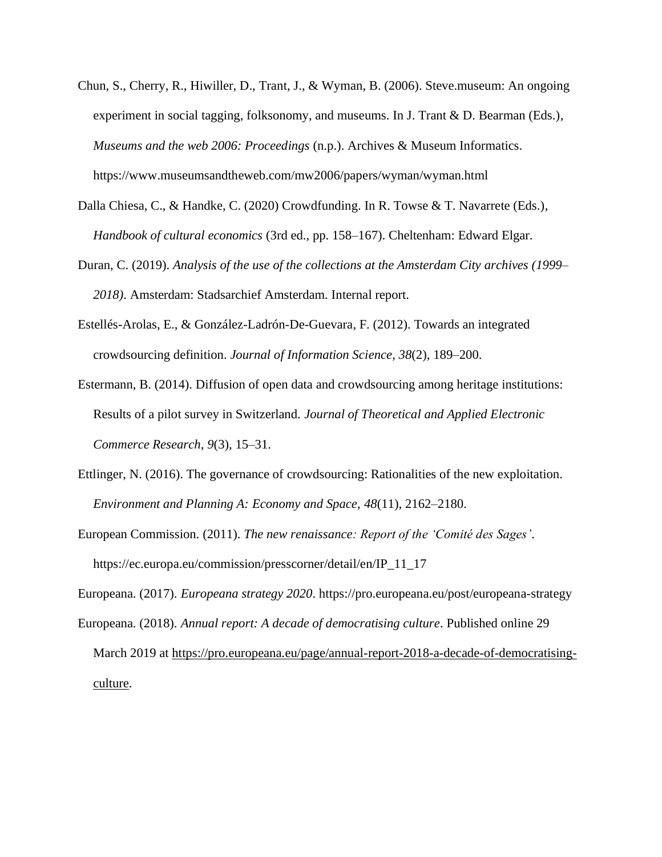- Chun, S., Cherry, R., Hiwiller, D., Trant, J., & Wyman, B. (2006). Steve.museum: An ongoing experiment in social tagging, folksonomy, and museums. In J. Trant & D. Bearman (Eds.), *Museums and the web 2006: Proceedings* (n.p.). Archives & Museum Informatics. https://www.museumsandtheweb.com/mw2006/papers/wyman/wyman.html
- Dalla Chiesa, C., & Handke, C. (2020) Crowdfunding. In R. Towse & T. Navarrete (Eds.), *Handbook of cultural economics* (3rd ed., pp. 158–167). Cheltenham: Edward Elgar.
- Duran, C. (2019). *Analysis of the use of the collections at the Amsterdam City archives (1999– 2018)*. Amsterdam: Stadsarchief Amsterdam. Internal report.
- Estellés-Arolas, E., & González-Ladrón-De-Guevara, F. (2012). Towards an integrated crowdsourcing definition. *Journal of Information Science*, *38*(2), 189–200.
- Estermann, B. (2014). Diffusion of open data and crowdsourcing among heritage institutions: Results of a pilot survey in Switzerland. *Journal of Theoretical and Applied Electronic Commerce Research*, *9*(3), 15–31.
- Ettlinger, N. (2016). The governance of crowdsourcing: Rationalities of the new exploitation. *Environment and Planning A: Economy and Space*, *48*(11), 2162–2180.
- European Commission. (2011). *The new renaissance: Report of the 'Comité des Sages'*. https://ec.europa.eu/commission/presscorner/detail/en/IP\_11\_17

Europeana. (2017). *Europeana strategy 2020*. https://pro.europeana.eu/post/europeana-strategy

Europeana. (2018). *Annual report: A decade of democratising culture*. Published online 29 March 2019 at [https://pro.europeana.eu/page/annual-report-2018-a-decade-of-democratising](https://pro.europeana.eu/page/annual-report-2018-a-decade-of-democratising-culture)[culture.](https://pro.europeana.eu/page/annual-report-2018-a-decade-of-democratising-culture)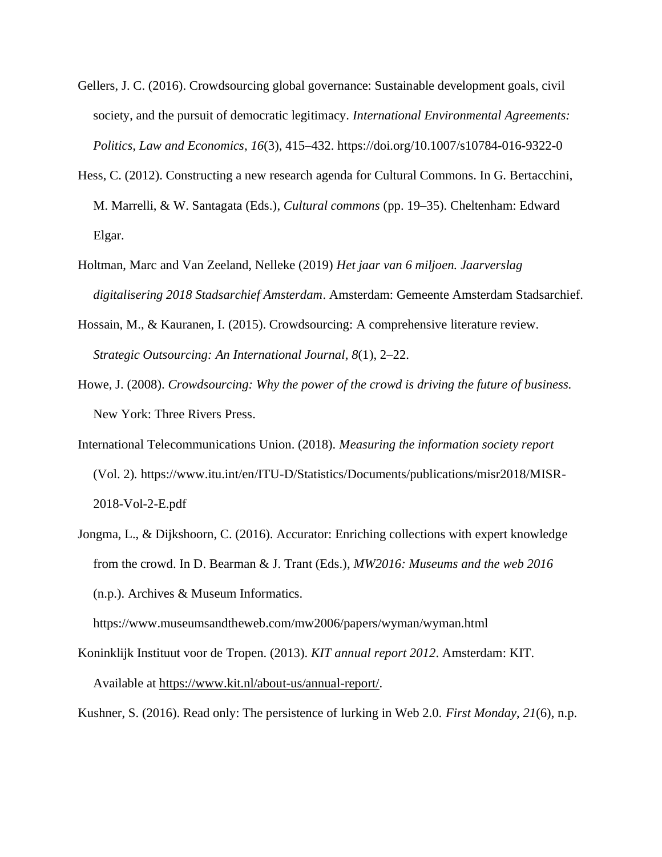- Gellers, J. C. (2016). Crowdsourcing global governance: Sustainable development goals, civil society, and the pursuit of democratic legitimacy. *International Environmental Agreements: Politics, Law and Economics*, *16*(3), 415–432. https://doi.org/10.1007/s10784-016-9322-0
- Hess, C. (2012). Constructing a new research agenda for Cultural Commons. In G. Bertacchini, M. Marrelli, & W. Santagata (Eds.), *Cultural commons* (pp. 19–35). Cheltenham: Edward Elgar.
- Holtman, Marc and Van Zeeland, Nelleke (2019) *Het jaar van 6 miljoen. Jaarverslag digitalisering 2018 Stadsarchief Amsterdam*. Amsterdam: Gemeente Amsterdam Stadsarchief.
- Hossain, M., & Kauranen, I. (2015). Crowdsourcing: A comprehensive literature review. *Strategic Outsourcing: An International Journal*, *8*(1), 2–22.
- Howe, J. (2008). *Crowdsourcing: Why the power of the crowd is driving the future of business.* New York: Three Rivers Press.
- International Telecommunications Union. (2018). *Measuring the information society report* (Vol. 2)*.* https://www.itu.int/en/ITU-D/Statistics/Documents/publications/misr2018/MISR-2018-Vol-2-E.pdf
- Jongma, L., & Dijkshoorn, C. (2016). Accurator: Enriching collections with expert knowledge from the crowd. In D. Bearman & J. Trant (Eds.), *MW2016: Museums and the web 2016* (n.p.). Archives & Museum Informatics.

https://www.museumsandtheweb.com/mw2006/papers/wyman/wyman.html Koninklijk Instituut voor de Tropen. (2013). *KIT annual report 2012*. Amsterdam: KIT. Available at [https://www.kit.nl/about-us/annual-report/.](https://www.kit.nl/about-us/annual-report/)

Kushner, S. (2016). Read only: The persistence of lurking in Web 2.0. *First Monday*, *21*(6), n.p.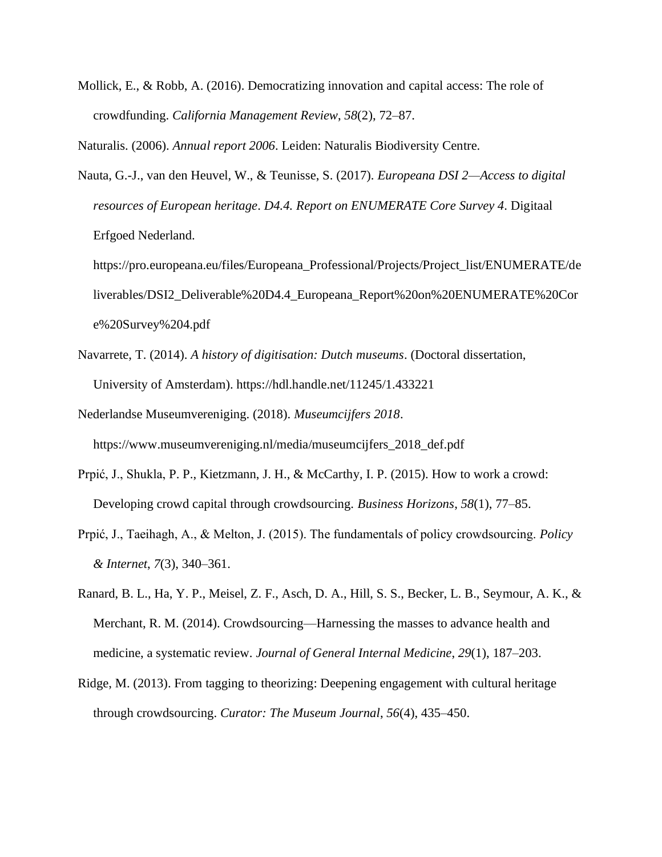Mollick, E., & Robb, A. (2016). Democratizing innovation and capital access: The role of crowdfunding. *California Management Review*, *58*(2), 72–87.

Naturalis. (2006). *Annual report 2006*. Leiden: Naturalis Biodiversity Centre.

Nauta, G.-J., van den Heuvel, W., & Teunisse, S. (2017). *Europeana DSI 2—Access to digital resources of European heritage*. *D4.4. Report on ENUMERATE Core Survey 4*. Digitaal Erfgoed Nederland.

https://pro.europeana.eu/files/Europeana\_Professional/Projects/Project\_list/ENUMERATE/de liverables/DSI2\_Deliverable%20D4.4\_Europeana\_Report%20on%20ENUMERATE%20Cor e%20Survey%204.pdf

- Navarrete, T. (2014). *A history of digitisation: Dutch museums*. (Doctoral dissertation, University of Amsterdam). https://hdl.handle.net/11245/1.433221
- Nederlandse Museumvereniging. (2018). *Museumcijfers 2018*. https://www.museumvereniging.nl/media/museumcijfers\_2018\_def.pdf
- Prpić, J., Shukla, P. P., Kietzmann, J. H., & McCarthy, I. P. (2015). How to work a crowd: Developing crowd capital through crowdsourcing. *Business Horizons*, *58*(1), 77–85.
- Prpić, J., Taeihagh, A., & Melton, J. (2015). The fundamentals of policy crowdsourcing. *Policy & Internet*, *7*(3), 340–361.
- Ranard, B. L., Ha, Y. P., Meisel, Z. F., Asch, D. A., Hill, S. S., Becker, L. B., Seymour, A. K., & Merchant, R. M. (2014). Crowdsourcing—Harnessing the masses to advance health and medicine, a systematic review. *Journal of General Internal Medicine*, *29*(1), 187–203.
- Ridge, M. (2013). From tagging to theorizing: Deepening engagement with cultural heritage through crowdsourcing. *Curator: The Museum Journal*, *56*(4), 435–450.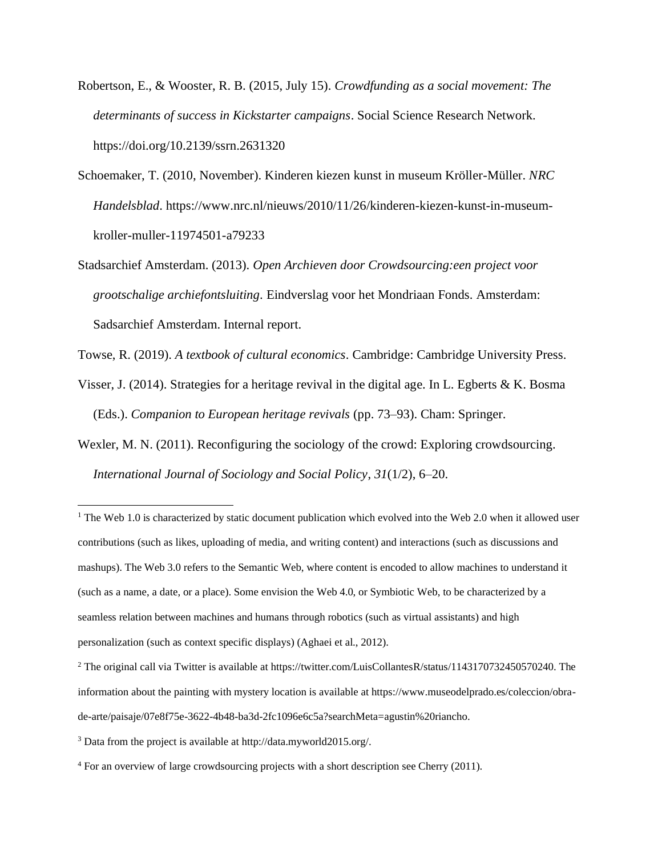- Robertson, E., & Wooster, R. B. (2015, July 15). *Crowdfunding as a social movement: The determinants of success in Kickstarter campaigns*. Social Science Research Network. https://doi.org/10.2139/ssrn.2631320
- Schoemaker, T. (2010, November). Kinderen kiezen kunst in museum Kröller-Müller. *NRC Handelsblad*. https://www.nrc.nl/nieuws/2010/11/26/kinderen-kiezen-kunst-in-museumkroller-muller-11974501-a79233
- Stadsarchief Amsterdam. (2013). *Open Archieven door Crowdsourcing:een project voor grootschalige archiefontsluiting*. Eindverslag voor het Mondriaan Fonds. Amsterdam: Sadsarchief Amsterdam. Internal report.
- Towse, R. (2019). *A textbook of cultural economics*. Cambridge: Cambridge University Press.
- Visser, J. (2014). Strategies for a heritage revival in the digital age. In L. Egberts & K. Bosma (Eds.). *Companion to European heritage revivals* (pp. 73–93). Cham: Springer.
- Wexler, M. N. (2011). Reconfiguring the sociology of the crowd: Exploring crowdsourcing. *International Journal of Sociology and Social Policy*, *31*(1/2), 6–20.

<sup>&</sup>lt;sup>1</sup> The Web 1.0 is characterized by static document publication which evolved into the Web 2.0 when it allowed user contributions (such as likes, uploading of media, and writing content) and interactions (such as discussions and mashups). The Web 3.0 refers to the Semantic Web, where content is encoded to allow machines to understand it (such as a name, a date, or a place). Some envision the Web 4.0, or Symbiotic Web, to be characterized by a seamless relation between machines and humans through robotics (such as virtual assistants) and high personalization (such as context specific displays) (Aghaei et al., 2012).

<sup>&</sup>lt;sup>2</sup> The original call via Twitter is available at https://twitter.com/LuisCollantesR/status/1143170732450570240. The information about the painting with mystery location is available at https://www.museodelprado.es/coleccion/obrade-arte/paisaje/07e8f75e-3622-4b48-ba3d-2fc1096e6c5a?searchMeta=agustin%20riancho.

<sup>&</sup>lt;sup>3</sup> Data from the project is available at http://data.myworld2015.org/.

<sup>4</sup> For an overview of large crowdsourcing projects with a short description see Cherry (2011).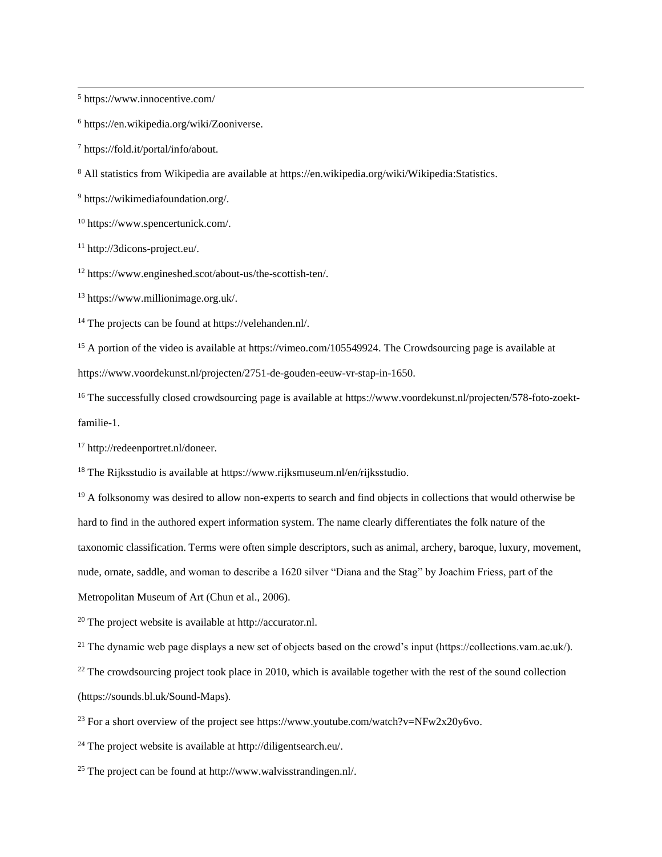<sup>5</sup> https://www.innocentive.com/

<sup>6</sup> https://en.wikipedia.org/wiki/Zooniverse.

<sup>7</sup> https://fold.it/portal/info/about.

<sup>8</sup> All statistics from Wikipedia are available at https://en.wikipedia.org/wiki/Wikipedia:Statistics.

<sup>9</sup> https://wikimediafoundation.org/.

<sup>10</sup> https://www.spencertunick.com/.

<sup>11</sup> http://3dicons-project.eu/.

<sup>12</sup> https://www.engineshed.scot/about-us/the-scottish-ten/.

<sup>13</sup> https://www.millionimage.org.uk/.

<sup>14</sup> The projects can be found at https://velehanden.nl/.

<sup>15</sup> A portion of the video is available at https://vimeo.com/105549924. The Crowdsourcing page is available at https://www.voordekunst.nl/projecten/2751-de-gouden-eeuw-vr-stap-in-1650.

<sup>16</sup> The successfully closed crowdsourcing page is available at https://www.voordekunst.nl/projecten/578-foto-zoektfamilie-1.

<sup>17</sup> http://redeenportret.nl/doneer.

<sup>18</sup> The Rijksstudio is available at https://www.rijksmuseum.nl/en/rijksstudio.

<sup>19</sup> A folksonomy was desired to allow non-experts to search and find objects in collections that would otherwise be hard to find in the authored expert information system. The name clearly differentiates the folk nature of the taxonomic classification. Terms were often simple descriptors, such as animal, archery, baroque, luxury, movement, nude, ornate, saddle, and woman to describe a 1620 silver "Diana and the Stag" by Joachim Friess, part of the Metropolitan Museum of Art (Chun et al., 2006).

<sup>20</sup> The project website is available at http://accurator.nl.

<sup>21</sup> The dynamic web page displays a new set of objects based on the crowd's input (https://collections.vam.ac.uk/).

 $^{22}$  The crowdsourcing project took place in 2010, which is available together with the rest of the sound collection

(https://sounds.bl.uk/Sound-Maps).

<sup>23</sup> For a short overview of the project see https://www.youtube.com/watch?v=NFw2x20y6vo.

 $24$  The project website is available at http://diligentsearch.eu/.

<sup>25</sup> The project can be found at http://www.walvisstrandingen.nl/.